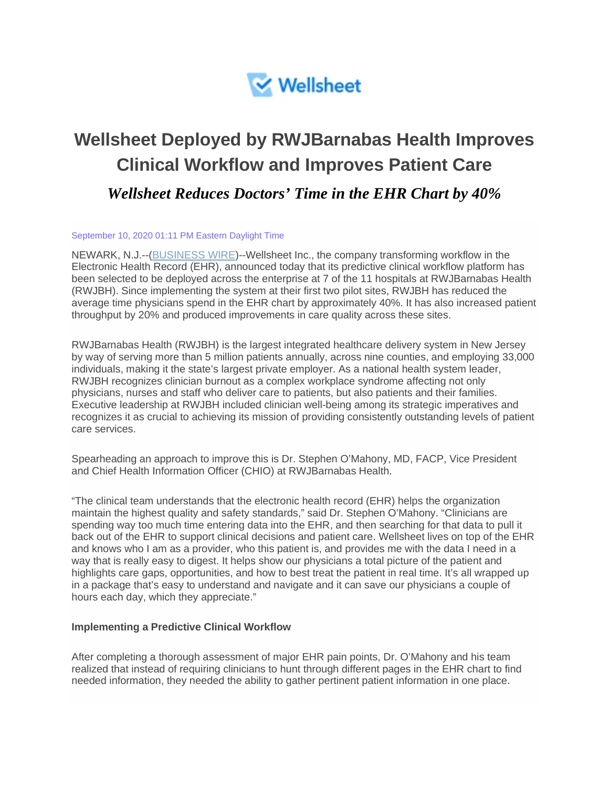

# **Wellsheet Deployed by RWJBarnabas Health Improves Clinical Workflow and Improves Patient Care** *Wellsheet Reduces Doctors' Time in the EHR Chart by 40%*

#### September 10, 2020 01:11 PM Eastern Daylight Time

NEWARK, N.J.--[\(BUSINESS WIRE\)](https://www.businesswire.com/)--Wellsheet Inc., the company transforming workflow in the Electronic Health Record (EHR), announced today that its predictive clinical workflow platform has been selected to be deployed across the enterprise at 7 of the 11 hospitals at RWJBarnabas Health (RWJBH). Since implementing the system at their first two pilot sites, RWJBH has reduced the average time physicians spend in the EHR chart by approximately 40%. It has also increased patient throughput by 20% and produced improvements in care quality across these sites.

RWJBarnabas Health (RWJBH) is the largest integrated healthcare delivery system in New Jersey by way of serving more than 5 million patients annually, across nine counties, and employing 33,000 individuals, making it the state's largest private employer. As a national health system leader, RWJBH recognizes clinician burnout as a complex workplace syndrome affecting not only physicians, nurses and staff who deliver care to patients, but also patients and their families. Executive leadership at RWJBH included clinician well-being among its strategic imperatives and recognizes it as crucial to achieving its mission of providing consistently outstanding levels of patient care services.

Spearheading an approach to improve this is Dr. Stephen O'Mahony, MD, FACP, Vice President and Chief Health Information Officer (CHIO) at RWJBarnabas Health.

"The clinical team understands that the electronic health record (EHR) helps the organization maintain the highest quality and safety standards," said Dr. Stephen O'Mahony. "Clinicians are spending way too much time entering data into the EHR, and then searching for that data to pull it back out of the EHR to support clinical decisions and patient care. Wellsheet lives on top of the EHR and knows who I am as a provider, who this patient is, and provides me with the data I need in a way that is really easy to digest. It helps show our physicians a total picture of the patient and highlights care gaps, opportunities, and how to best treat the patient in real time. It's all wrapped up in a package that's easy to understand and navigate and it can save our physicians a couple of hours each day, which they appreciate."

#### **Implementing a Predictive Clinical Workflow**

After completing a thorough assessment of major EHR pain points, Dr. O'Mahony and his team realized that instead of requiring clinicians to hunt through different pages in the EHR chart to find needed information, they needed the ability to gather pertinent patient information in one place.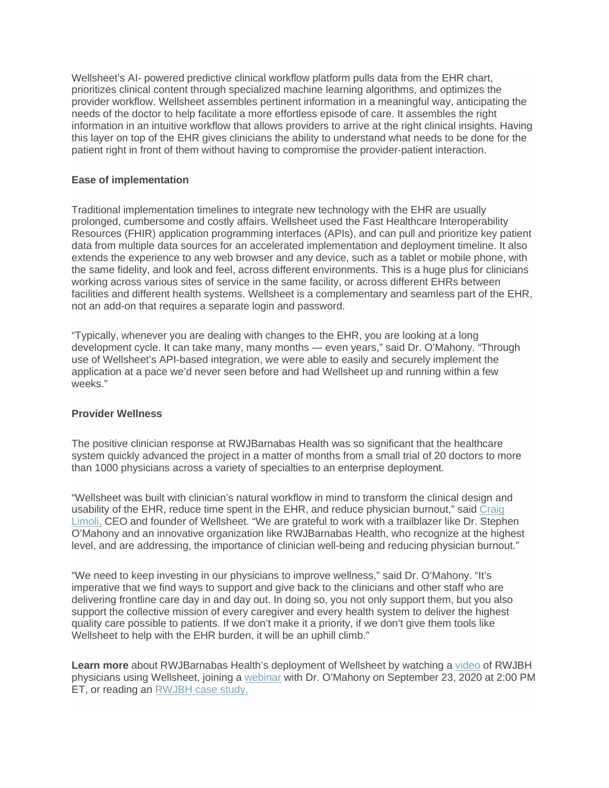Wellsheet's AI- powered predictive clinical workflow platform pulls data from the EHR chart, prioritizes clinical content through specialized machine learning algorithms, and optimizes the provider workflow. Wellsheet assembles pertinent information in a meaningful way, anticipating the needs of the doctor to help facilitate a more effortless episode of care. It assembles the right information in an intuitive workflow that allows providers to arrive at the right clinical insights. Having this layer on top of the EHR gives clinicians the ability to understand what needs to be done for the patient right in front of them without having to compromise the provider-patient interaction.

# **Ease of implementation**

Traditional implementation timelines to integrate new technology with the EHR are usually prolonged, cumbersome and costly affairs. Wellsheet used the Fast Healthcare Interoperability Resources (FHIR) application programming interfaces (APIs), and can pull and prioritize key patient data from multiple data sources for an accelerated implementation and deployment timeline. It also extends the experience to any web browser and any device, such as a tablet or mobile phone, with the same fidelity, and look and feel, across different environments. This is a huge plus for clinicians working across various sites of service in the same facility, or across different EHRs between facilities and different health systems. Wellsheet is a complementary and seamless part of the EHR, not an add-on that requires a separate login and password.

"Typically, whenever you are dealing with changes to the EHR, you are looking at a long development cycle. It can take many, many months — even years," said Dr. O'Mahony. "Through use of Wellsheet's API-based integration, we were able to easily and securely implement the application at a pace we'd never seen before and had Wellsheet up and running within a few weeks."

### **Provider Wellness**

The positive clinician response at RWJBarnabas Health was so significant that the healthcare system quickly advanced the project in a matter of months from a small trial of 20 doctors to more than 1000 physicians across a variety of specialties to an enterprise deployment.

"Wellsheet was built with clinician's natural workflow in mind to transform the clinical design and usability of the EHR, reduce time spent in the EHR, and reduce physician burnout," said Craig [Limoli,](https://cts.businesswire.com/ct/CT?id=smartlink&url=https%3A%2F%2Fwww.wellsheet.com%2Fpost%2Frwjbh&esheet=52283711&newsitemid=20200910005370&lan=en-US&anchor=Craig+Limoli%2C&index=1&md5=0e84be63c9d4955354a4b4134de32492) CEO and founder of Wellsheet. "We are grateful to work with a trailblazer like Dr. Stephen O'Mahony and an innovative organization like RWJBarnabas Health, who recognize at the highest level, and are addressing, the importance of clinician well-being and reducing physician burnout."

"We need to keep investing in our physicians to improve wellness," said Dr. O'Mahony. "It's imperative that we find ways to support and give back to the clinicians and other staff who are delivering frontline care day in and day out. In doing so, you not only support them, but you also support the collective mission of every caregiver and every health system to deliver the highest quality care possible to patients. If we don't make it a priority, if we don't give them tools like Wellsheet to help with the EHR burden, it will be an uphill climb."

**Learn more** about RWJBarnabas Health's deployment of Wellsheet by watching a [video](https://cts.businesswire.com/ct/CT?id=smartlink&url=https%3A%2F%2Fwww.wellsheet.com%2Frwjbarnabas-health-deploys-wellsheet&esheet=52283711&newsitemid=20200910005370&lan=en-US&anchor=video&index=2&md5=e234f3f2b406e23cd47a91a5c09c46dc) of RWJBH physicians using Wellsheet, joining a [webinar](https://cts.businesswire.com/ct/CT?id=smartlink&url=https%3A%2F%2Fwww.wellsheet.com%2Frwjbh-webinar&esheet=52283711&newsitemid=20200910005370&lan=en-US&anchor=webinar&index=3&md5=e91592af9dece63d95c73fa90c604d0e) with Dr. O'Mahony on September 23, 2020 at 2:00 PM ET, or reading an [RWJBH case study.](https://cts.businesswire.com/ct/CT?id=smartlink&url=https%3A%2F%2Fwww.wellsheet.com%2Frwjbh-case-study&esheet=52283711&newsitemid=20200910005370&lan=en-US&anchor=RWJBH+case+study.&index=4&md5=b39eb36a2f28a4c23c5a5b507038c56f)